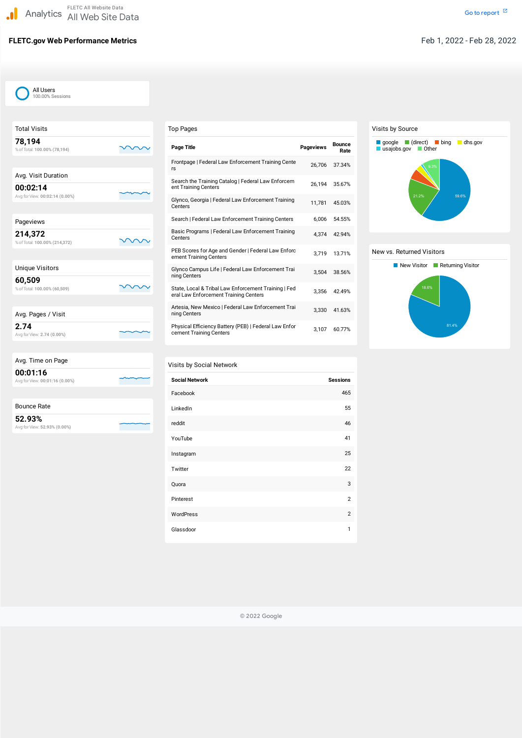# **FLETC.gov Web Performance Metrics** Feb 1, 2022 - Feb 28, 2022

| <b>Total Visits</b>                        |  |
|--------------------------------------------|--|
| 78,194<br>% of Total: 100.00% (78,194)     |  |
|                                            |  |
| Avg. Visit Duration                        |  |
| 00:02:14<br>Avg for View: 00:02:14 (0.00%) |  |
|                                            |  |
| Pageviews                                  |  |
| 214,372<br>% of Total: 100.00% (214,372)   |  |
| <b>Unique Visitors</b>                     |  |
| 60,509<br>% of Total: 100.00% (60,509)     |  |
|                                            |  |
| Avg. Pages / Visit                         |  |
| 2.74<br>Avg for View: 2.74 (0.00%)         |  |
|                                            |  |
| Avg. Time on Page                          |  |
| 00:01:16                                   |  |

Avg forView: **00:01:16 (0.00%)**

| <b>Bounce Rate</b> |  |
|--------------------|--|
|                    |  |

**52.93%** Avg forView: **52.93% (0.00%)**

| <b>Top Pages</b>                                                                              |                  |                       |
|-----------------------------------------------------------------------------------------------|------------------|-----------------------|
| <b>Page Title</b>                                                                             | <b>Pageviews</b> | <b>Bounce</b><br>Rate |
| Frontpage   Federal Law Enforcement Training Cente<br>rs                                      | 26,706           | 37.34%                |
| Search the Training Catalog   Federal Law Enforcem<br>ent Training Centers                    | 26,194           | 35.67%                |
| Glynco, Georgia   Federal Law Enforcement Training<br>Centers                                 | 11,781           | 45.03%                |
| Search   Federal Law Enforcement Training Centers                                             | 6,006            | 54.55%                |
| Basic Programs   Federal Law Enforcement Training<br>Centers                                  | 4,374            | 42.94%                |
| PEB Scores for Age and Gender   Federal Law Enforc<br>ement Training Centers                  | 3,719            | 13.71%                |
| Glynco Campus Life   Federal Law Enforcement Trai<br>ning Centers                             | 3,504            | 38.56%                |
| State, Local & Tribal Law Enforcement Training   Fed<br>eral Law Enforcement Training Centers | 3,356            | 42.49%                |
| Artesia, New Mexico   Federal Law Enforcement Trai<br>ning Centers                            | 3,330            | 41.63%                |
| Physical Efficiency Battery (PEB)   Federal Law Enfor<br>cement Training Centers              | 3,107            | 60.77%                |

### Visits by Social Network

| <b>Social Network</b> | <b>Sessions</b> |
|-----------------------|-----------------|
| Facebook              | 465             |
| LinkedIn              | 55              |
| reddit                | 46              |
| YouTube               | 41              |
| Instagram             | 25              |
| Twitter               | 22              |
| Quora                 | 3               |
| Pinterest             | 2               |

| WordPress |  |
|-----------|--|
| Glassdoor |  |

#### Visits by Source

#### New vs. Returned Visitors





© 2022 Google